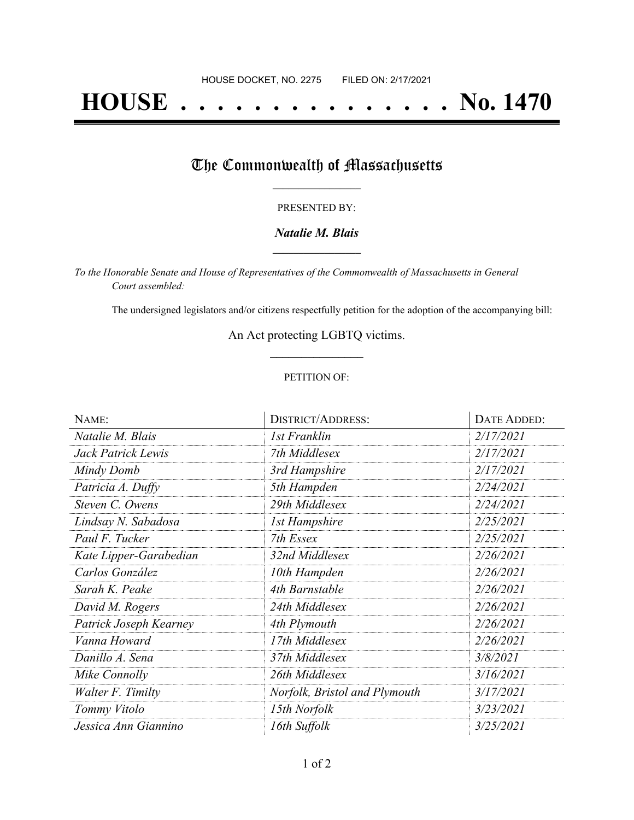# **HOUSE . . . . . . . . . . . . . . . No. 1470**

# The Commonwealth of Massachusetts

#### PRESENTED BY:

### *Natalie M. Blais* **\_\_\_\_\_\_\_\_\_\_\_\_\_\_\_\_\_**

*To the Honorable Senate and House of Representatives of the Commonwealth of Massachusetts in General Court assembled:*

The undersigned legislators and/or citizens respectfully petition for the adoption of the accompanying bill:

## An Act protecting LGBTQ victims. **\_\_\_\_\_\_\_\_\_\_\_\_\_\_\_**

### PETITION OF:

| NAME:                  | <b>DISTRICT/ADDRESS:</b>      | <b>DATE ADDED:</b> |
|------------------------|-------------------------------|--------------------|
| Natalie M. Blais       | 1st Franklin                  | 2/17/2021          |
| Jack Patrick Lewis     | 7th Middlesex                 | 2/17/2021          |
| Mindy Domb             | 3rd Hampshire                 | 2/17/2021          |
| Patricia A. Duffy      | 5th Hampden                   | 2/24/2021          |
| Steven C. Owens        | 29th Middlesex                | 2/24/2021          |
| Lindsay N. Sabadosa    | <b>1st Hampshire</b>          | 2/25/2021          |
| Paul F. Tucker         | 7th Essex                     | 2/25/2021          |
| Kate Lipper-Garabedian | 32nd Middlesex                | 2/26/2021          |
| Carlos González        | 10th Hampden                  | 2/26/2021          |
| Sarah K. Peake         | 4th Barnstable                | 2/26/2021          |
| David M. Rogers        | 24th Middlesex                | 2/26/2021          |
| Patrick Joseph Kearney | 4th Plymouth                  | 2/26/2021          |
| Vanna Howard           | 17th Middlesex                | 2/26/2021          |
| Danillo A. Sena        | 37th Middlesex                | 3/8/2021           |
| Mike Connolly          | 26th Middlesex                | 3/16/2021          |
| Walter F. Timilty      | Norfolk, Bristol and Plymouth | 3/17/2021          |
| Tommy Vitolo           | 15th Norfolk                  | 3/23/2021          |
| Jessica Ann Giannino   | 16th Suffolk                  | 3/25/2021          |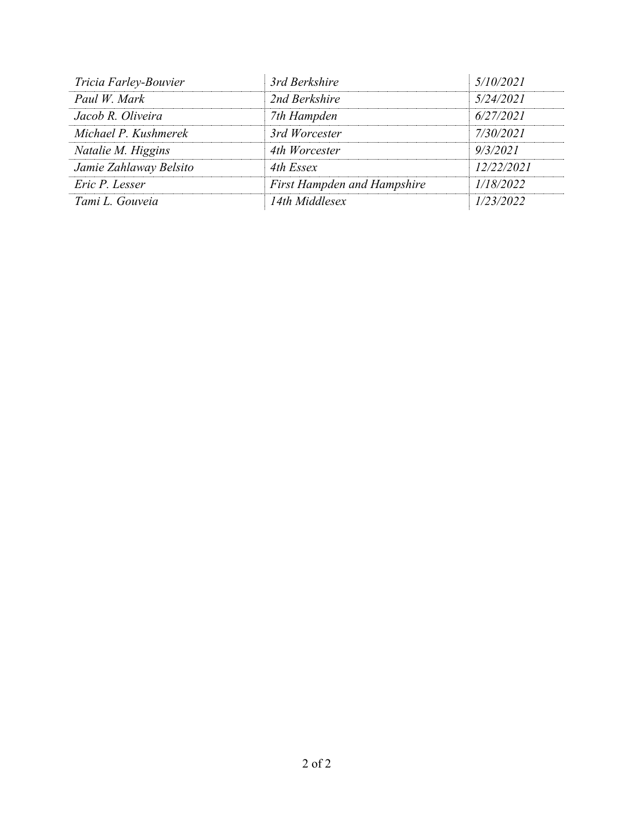| Tricia Farley-Bouvier  | 3rd Berkshire                      | 5/10/2021  |
|------------------------|------------------------------------|------------|
| Paul W. Mark           | 2nd Berkshire                      | 5/24/2021  |
| Jacob R. Oliveira      | 7th Hampden                        | 6/27/2021  |
| Michael P. Kushmerek   | 3rd Worcester                      | 7/30/2021  |
| Natalie M. Higgins     | 4th Worcester                      | 9/3/2021   |
| Jamie Zahlaway Belsito | 4th Essex                          | 12/22/2021 |
| Eric P. Lesser         | <b>First Hampden and Hampshire</b> | 1/18/2022  |
| Tami L. Gouveia        | 14th Middlesex                     | 1/23/2022  |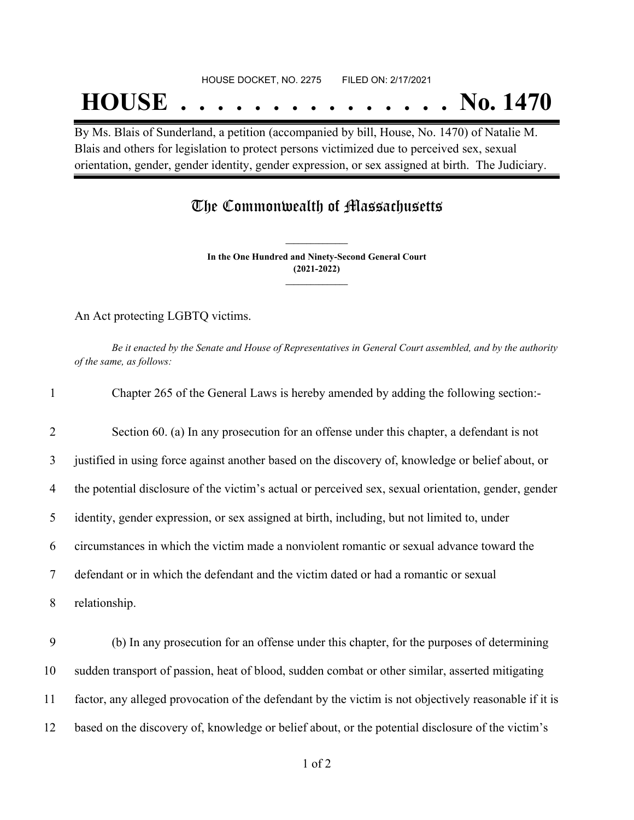# **HOUSE . . . . . . . . . . . . . . . No. 1470**

By Ms. Blais of Sunderland, a petition (accompanied by bill, House, No. 1470) of Natalie M. Blais and others for legislation to protect persons victimized due to perceived sex, sexual orientation, gender, gender identity, gender expression, or sex assigned at birth. The Judiciary.

## The Commonwealth of Massachusetts

**In the One Hundred and Ninety-Second General Court (2021-2022) \_\_\_\_\_\_\_\_\_\_\_\_\_\_\_**

**\_\_\_\_\_\_\_\_\_\_\_\_\_\_\_**

An Act protecting LGBTQ victims.

Be it enacted by the Senate and House of Representatives in General Court assembled, and by the authority *of the same, as follows:*

| $\mathbf{1}$   | Chapter 265 of the General Laws is hereby amended by adding the following section:-                   |
|----------------|-------------------------------------------------------------------------------------------------------|
| $\overline{2}$ | Section 60. (a) In any prosecution for an offense under this chapter, a defendant is not              |
| 3              | justified in using force against another based on the discovery of, knowledge or belief about, or     |
| $\overline{4}$ | the potential disclosure of the victim's actual or perceived sex, sexual orientation, gender, gender  |
| 5              | identity, gender expression, or sex assigned at birth, including, but not limited to, under           |
| 6              | circumstances in which the victim made a nonviolent romantic or sexual advance toward the             |
| 7              | defendant or in which the defendant and the victim dated or had a romantic or sexual                  |
| 8              | relationship.                                                                                         |
| 9              | (b) In any prosecution for an offense under this chapter, for the purposes of determining             |
| 10             | sudden transport of passion, heat of blood, sudden combat or other similar, asserted mitigating       |
| 11             | factor, any alleged provocation of the defendant by the victim is not objectively reasonable if it is |
| 12             | based on the discovery of, knowledge or belief about, or the potential disclosure of the victim's     |
|                |                                                                                                       |